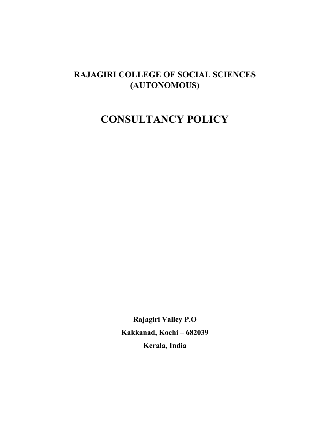# **RAJAGIRI COLLEGE OF SOCIAL SCIENCES (AUTONOMOUS)**

# **CONSULTANCY POLICY**

**Rajagiri Valley P.O Kakkanad, Kochi – 682039 Kerala, India**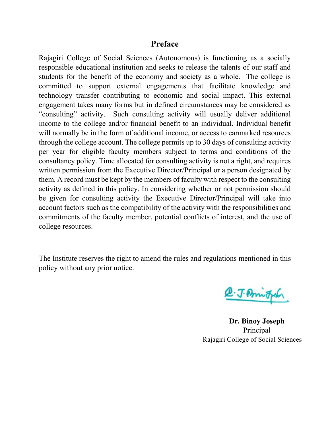## **Preface**

Rajagiri College of Social Sciences (Autonomous) is functioning as a socially responsible educational institution and seeks to release the talents of our staff and students for the benefit of the economy and society as a whole. The college is committed to support external engagements that facilitate knowledge and technology transfer contributing to economic and social impact. This external engagement takes many forms but in defined circumstances may be considered as "consulting" activity. Such consulting activity will usually deliver additional income to the college and/or financial benefit to an individual. Individual benefit will normally be in the form of additional income, or access to earmarked resources through the college account. The college permits up to 30 days of consulting activity per year for eligible faculty members subject to terms and conditions of the consultancy policy. Time allocated for consulting activity is not a right, and requires written permission from the Executive Director/Principal or a person designated by them. A record must be kept by the members of faculty with respect to the consulting activity as defined in this policy. In considering whether or not permission should be given for consulting activity the Executive Director/Principal will take into account factors such as the compatibility of the activity with the responsibilities and commitments of the faculty member, potential conflicts of interest, and the use of college resources.

The Institute reserves the right to amend the rules and regulations mentioned in this policy without any prior notice.

@. J. Printfor

**Dr. Binoy Joseph** Principal Rajagiri College of Social Sciences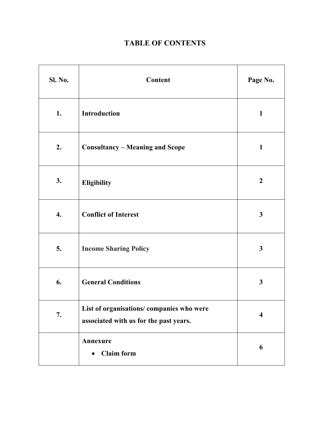## **TABLE OF CONTENTS**

| Sl. No. | Content                                                                            | Page No.                |
|---------|------------------------------------------------------------------------------------|-------------------------|
| 1.      | Introduction                                                                       | $\mathbf{1}$            |
| 2.      | <b>Consultancy - Meaning and Scope</b>                                             | $\mathbf{1}$            |
| 3.      | Eligibility                                                                        | $\overline{2}$          |
| 4.      | <b>Conflict of Interest</b>                                                        | $\mathbf{3}$            |
| 5.      | <b>Income Sharing Policy</b>                                                       | $\overline{\mathbf{3}}$ |
| 6.      | <b>General Conditions</b>                                                          | 3                       |
| 7.      | List of organisations/companies who were<br>associated with us for the past years. | $\overline{\mathbf{4}}$ |
|         | Annexure<br><b>Claim</b> form<br>$\bullet$                                         | 6                       |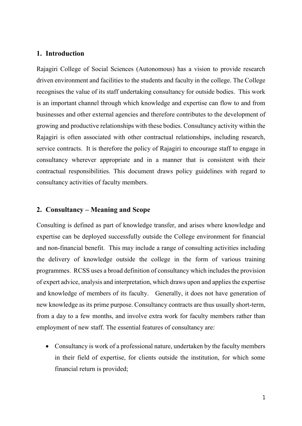#### **1. Introduction**

Rajagiri College of Social Sciences (Autonomous) has a vision to provide research driven environment and facilities to the students and faculty in the college. The College recognises the value of its staff undertaking consultancy for outside bodies. This work is an important channel through which knowledge and expertise can flow to and from businesses and other external agencies and therefore contributes to the development of growing and productive relationships with these bodies. Consultancy activity within the Rajagiri is often associated with other contractual relationships, including research, service contracts. It is therefore the policy of Rajagiri to encourage staff to engage in consultancy wherever appropriate and in a manner that is consistent with their contractual responsibilities. This document draws policy guidelines with regard to consultancy activities of faculty members.

#### **2. Consultancy – Meaning and Scope**

Consulting is defined as part of knowledge transfer, and arises where knowledge and expertise can be deployed successfully outside the College environment for financial and non-financial benefit. This may include a range of consulting activities including the delivery of knowledge outside the college in the form of various training programmes. RCSS uses a broad definition of consultancy which includes the provision of expert advice, analysis and interpretation, which draws upon and applies the expertise and knowledge of members of its faculty. Generally, it does not have generation of new knowledge as its prime purpose. Consultancy contracts are thus usually short-term, from a day to a few months, and involve extra work for faculty members rather than employment of new staff. The essential features of consultancy are:

 Consultancy is work of a professional nature, undertaken by the faculty members in their field of expertise, for clients outside the institution, for which some financial return is provided;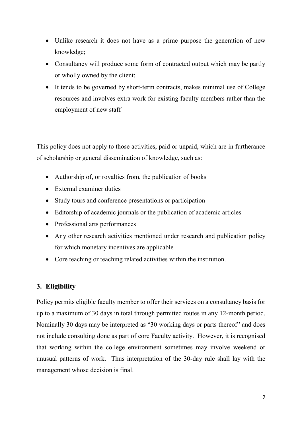- Unlike research it does not have as a prime purpose the generation of new knowledge;
- Consultancy will produce some form of contracted output which may be partly or wholly owned by the client;
- It tends to be governed by short-term contracts, makes minimal use of College resources and involves extra work for existing faculty members rather than the employment of new staff

This policy does not apply to those activities, paid or unpaid, which are in furtherance of scholarship or general dissemination of knowledge, such as:

- Authorship of, or royalties from, the publication of books
- External examiner duties
- Study tours and conference presentations or participation
- Editorship of academic journals or the publication of academic articles
- Professional arts performances
- Any other research activities mentioned under research and publication policy for which monetary incentives are applicable
- Core teaching or teaching related activities within the institution.

#### **3. Eligibility**

Policy permits eligible faculty member to offer their services on a consultancy basis for up to a maximum of 30 days in total through permitted routes in any 12-month period. Nominally 30 days may be interpreted as "30 working days or parts thereof" and does not include consulting done as part of core Faculty activity. However, it is recognised that working within the college environment sometimes may involve weekend or unusual patterns of work. Thus interpretation of the 30-day rule shall lay with the management whose decision is final.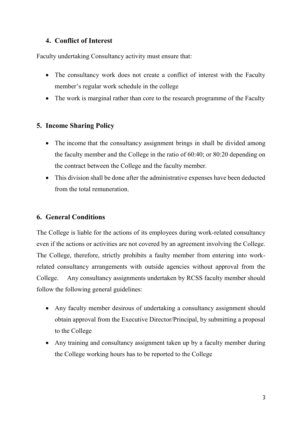#### **4. Conflict of Interest**

Faculty undertaking Consultancy activity must ensure that:

- The consultancy work does not create a conflict of interest with the Faculty member's regular work schedule in the college
- The work is marginal rather than core to the research programme of the Faculty

## **5. Income Sharing Policy**

- The income that the consultancy assignment brings in shall be divided among the faculty member and the College in the ratio of 60:40; or 80:20 depending on the contract between the College and the faculty member.
- This division shall be done after the administrative expenses have been deducted from the total remuneration.

## **6. General Conditions**

The College is liable for the actions of its employees during work-related consultancy even if the actions or activities are not covered by an agreement involving the College. The College, therefore, strictly prohibits a faulty member from entering into workrelated consultancy arrangements with outside agencies without approval from the College. Any consultancy assignments undertaken by RCSS faculty member should follow the following general guidelines:

- Any faculty member desirous of undertaking a consultancy assignment should obtain approval from the Executive Director/Principal, by submitting a proposal to the College
- Any training and consultancy assignment taken up by a faculty member during the College working hours has to be reported to the College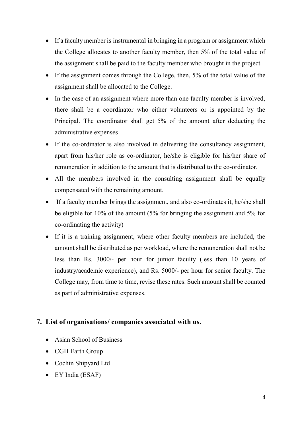- If a faculty member is instrumental in bringing in a program or assignment which the College allocates to another faculty member, then 5% of the total value of the assignment shall be paid to the faculty member who brought in the project.
- If the assignment comes through the College, then, 5% of the total value of the assignment shall be allocated to the College.
- In the case of an assignment where more than one faculty member is involved, there shall be a coordinator who either volunteers or is appointed by the Principal. The coordinator shall get 5% of the amount after deducting the administrative expenses
- If the co-ordinator is also involved in delivering the consultancy assignment, apart from his/her role as co-ordinator, he/she is eligible for his/her share of remuneration in addition to the amount that is distributed to the co-ordinator.
- All the members involved in the consulting assignment shall be equally compensated with the remaining amount.
- If a faculty member brings the assignment, and also co-ordinates it, he/she shall be eligible for 10% of the amount (5% for bringing the assignment and 5% for co-ordinating the activity)
- If it is a training assignment, where other faculty members are included, the amount shall be distributed as per workload, where the remuneration shall not be less than Rs. 3000/- per hour for junior faculty (less than 10 years of industry/academic experience), and Rs. 5000/- per hour for senior faculty. The College may, from time to time, revise these rates. Such amount shall be counted as part of administrative expenses.

#### **7. List of organisations/ companies associated with us.**

- Asian School of Business
- CGH Earth Group
- Cochin Shipyard Ltd
- EY India (ESAF)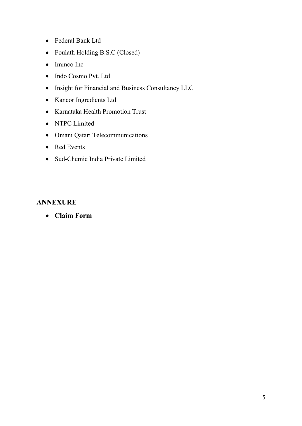- Federal Bank Ltd
- Foulath Holding B.S.C (Closed)
- Immco Inc
- Indo Cosmo Pvt. Ltd
- Insight for Financial and Business Consultancy LLC
- Kancor Ingredients Ltd
- Karnataka Health Promotion Trust
- NTPC Limited
- Omani Qatari Telecommunications
- Red Events
- Sud-Chemie India Private Limited

#### **ANNEXURE**

**Claim Form**